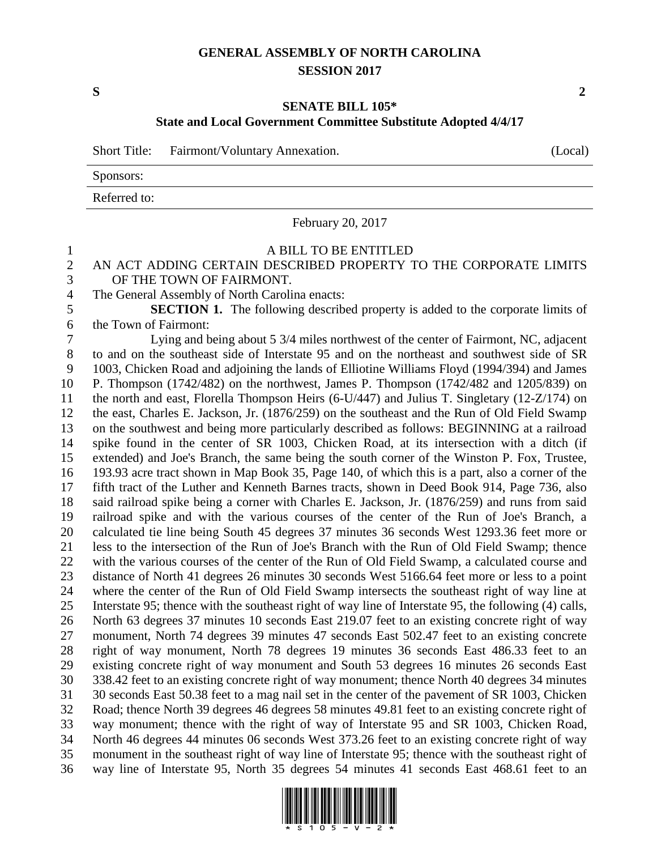### **GENERAL ASSEMBLY OF NORTH CAROLINA SESSION 2017**

**S 2**

## **SENATE BILL 105\* State and Local Government Committee Substitute Adopted 4/4/17**

Short Title: Fairmont/Voluntary Annexation. (Local)

Sponsors:

Referred to:

February 20, 2017

# A BILL TO BE ENTITLED

### AN ACT ADDING CERTAIN DESCRIBED PROPERTY TO THE CORPORATE LIMITS OF THE TOWN OF FAIRMONT.

The General Assembly of North Carolina enacts:

 **SECTION 1.** The following described property is added to the corporate limits of the Town of Fairmont:

 Lying and being about 5 3/4 miles northwest of the center of Fairmont, NC, adjacent to and on the southeast side of Interstate 95 and on the northeast and southwest side of SR 1003, Chicken Road and adjoining the lands of Elliotine Williams Floyd (1994/394) and James P. Thompson (1742/482) on the northwest, James P. Thompson (1742/482 and 1205/839) on the north and east, Florella Thompson Heirs (6-U/447) and Julius T. Singletary (12-Z/174) on the east, Charles E. Jackson, Jr. (1876/259) on the southeast and the Run of Old Field Swamp on the southwest and being more particularly described as follows: BEGINNING at a railroad spike found in the center of SR 1003, Chicken Road, at its intersection with a ditch (if extended) and Joe's Branch, the same being the south corner of the Winston P. Fox, Trustee, 193.93 acre tract shown in Map Book 35, Page 140, of which this is a part, also a corner of the fifth tract of the Luther and Kenneth Barnes tracts, shown in Deed Book 914, Page 736, also said railroad spike being a corner with Charles E. Jackson, Jr. (1876/259) and runs from said railroad spike and with the various courses of the center of the Run of Joe's Branch, a calculated tie line being South 45 degrees 37 minutes 36 seconds West 1293.36 feet more or less to the intersection of the Run of Joe's Branch with the Run of Old Field Swamp; thence with the various courses of the center of the Run of Old Field Swamp, a calculated course and distance of North 41 degrees 26 minutes 30 seconds West 5166.64 feet more or less to a point where the center of the Run of Old Field Swamp intersects the southeast right of way line at Interstate 95; thence with the southeast right of way line of Interstate 95, the following (4) calls, North 63 degrees 37 minutes 10 seconds East 219.07 feet to an existing concrete right of way monument, North 74 degrees 39 minutes 47 seconds East 502.47 feet to an existing concrete right of way monument, North 78 degrees 19 minutes 36 seconds East 486.33 feet to an existing concrete right of way monument and South 53 degrees 16 minutes 26 seconds East 338.42 feet to an existing concrete right of way monument; thence North 40 degrees 34 minutes 30 seconds East 50.38 feet to a mag nail set in the center of the pavement of SR 1003, Chicken Road; thence North 39 degrees 46 degrees 58 minutes 49.81 feet to an existing concrete right of way monument; thence with the right of way of Interstate 95 and SR 1003, Chicken Road, North 46 degrees 44 minutes 06 seconds West 373.26 feet to an existing concrete right of way monument in the southeast right of way line of Interstate 95; thence with the southeast right of way line of Interstate 95, North 35 degrees 54 minutes 41 seconds East 468.61 feet to an